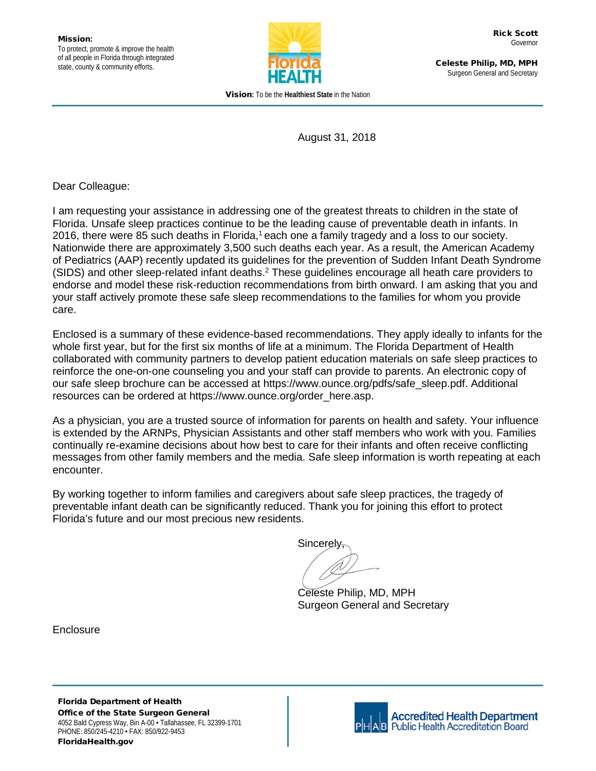

Celeste Philip, MD, MPH Surgeon General and Secretary

Vision**:** To be the **Healthiest State** in the Nation

August 31, 2018

Dear Colleague:

I am requesting your assistance in addressing one of the greatest threats to children in the state of Florida. Unsafe sleep practices continue to be the leading cause of preventable death in infants. In 2016, there were 85 such deaths in Florida,<sup>1</sup> each one a family tragedy and a loss to our society. Nationwide there are approximately 3,500 such deaths each year. As a result, the American Academy of Pediatrics (AAP) recently updated its guidelines for the prevention of Sudden Infant Death Syndrome (SIDS) and other sleep-related infant deaths. <sup>2</sup> These guidelines encourage all heath care providers to endorse and model these risk-reduction recommendations from birth onward. I am asking that you and your staff actively promote these safe sleep recommendations to the families for whom you provide care.

Enclosed is a summary of these evidence-based recommendations. They apply ideally to infants for the whole first year, but for the first six months of life at a minimum. The Florida Department of Health collaborated with community partners to develop patient education materials on safe sleep practices to reinforce the one-on-one counseling you and your staff can provide to parents. An electronic copy of our safe sleep brochure can be accessed at https://www.ounce.org/pdfs/safe\_sleep.pdf. Additional resources can be ordered at https://www.ounce.org/order\_here.asp.

As a physician, you are a trusted source of information for parents on health and safety. Your influence is extended by the ARNPs, Physician Assistants and other staff members who work with you. Families continually re-examine decisions about how best to care for their infants and often receive conflicting messages from other family members and the media. Safe sleep information is worth repeating at each encounter.

By working together to inform families and caregivers about safe sleep practices, the tragedy of preventable infant death can be significantly reduced. Thank you for joining this effort to protect Florida's future and our most precious new residents.

Sincerely,

Celeste Philip, MD, MPH Surgeon General and Secretary

Enclosure

Florida Department of Health Office of the State Surgeon General 4052 Bald Cypress Way, Bin A-00 • Tallahassee, FL 32399-1701 PHONE: 850/245-4210 • FAX: 850/922-9453 FloridaHealth.gov



**Accredited Health Department Public Health Accreditation Board**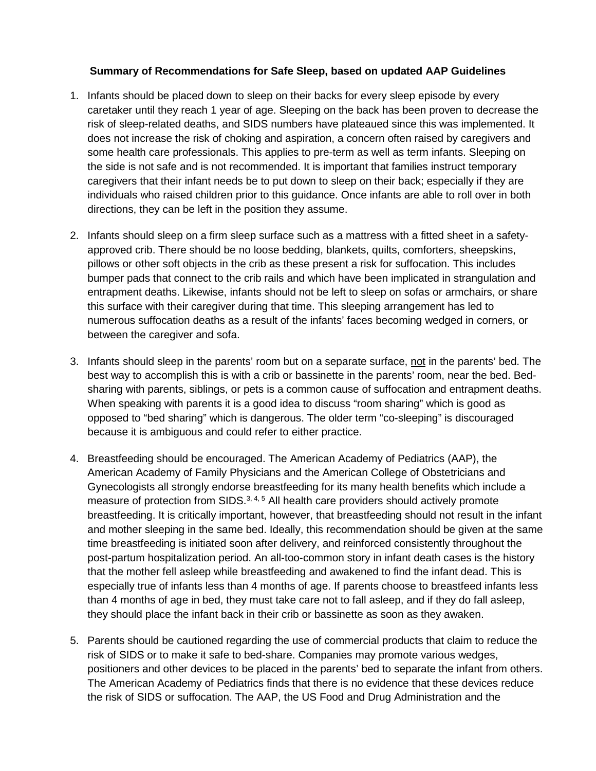## **Summary of Recommendations for Safe Sleep, based on updated AAP Guidelines**

- 1. Infants should be placed down to sleep on their backs for every sleep episode by every caretaker until they reach 1 year of age. Sleeping on the back has been proven to decrease the risk of sleep-related deaths, and SIDS numbers have plateaued since this was implemented. It does not increase the risk of choking and aspiration, a concern often raised by caregivers and some health care professionals. This applies to pre-term as well as term infants. Sleeping on the side is not safe and is not recommended. It is important that families instruct temporary caregivers that their infant needs be to put down to sleep on their back; especially if they are individuals who raised children prior to this guidance. Once infants are able to roll over in both directions, they can be left in the position they assume.
- 2. Infants should sleep on a firm sleep surface such as a mattress with a fitted sheet in a safetyapproved crib. There should be no loose bedding, blankets, quilts, comforters, sheepskins, pillows or other soft objects in the crib as these present a risk for suffocation. This includes bumper pads that connect to the crib rails and which have been implicated in strangulation and entrapment deaths. Likewise, infants should not be left to sleep on sofas or armchairs, or share this surface with their caregiver during that time. This sleeping arrangement has led to numerous suffocation deaths as a result of the infants' faces becoming wedged in corners, or between the caregiver and sofa.
- 3. Infants should sleep in the parents' room but on a separate surface, not in the parents' bed. The best way to accomplish this is with a crib or bassinette in the parents' room, near the bed. Bedsharing with parents, siblings, or pets is a common cause of suffocation and entrapment deaths. When speaking with parents it is a good idea to discuss "room sharing" which is good as opposed to "bed sharing" which is dangerous. The older term "co-sleeping" is discouraged because it is ambiguous and could refer to either practice.
- 4. Breastfeeding should be encouraged. The American Academy of Pediatrics (AAP), the American Academy of Family Physicians and the American College of Obstetricians and Gynecologists all strongly endorse breastfeeding for its many health benefits which include a measure of protection from SIDS.<sup>3, 4, 5</sup> All health care providers should actively promote breastfeeding. It is critically important, however, that breastfeeding should not result in the infant and mother sleeping in the same bed. Ideally, this recommendation should be given at the same time breastfeeding is initiated soon after delivery, and reinforced consistently throughout the post-partum hospitalization period. An all-too-common story in infant death cases is the history that the mother fell asleep while breastfeeding and awakened to find the infant dead. This is especially true of infants less than 4 months of age. If parents choose to breastfeed infants less than 4 months of age in bed, they must take care not to fall asleep, and if they do fall asleep, they should place the infant back in their crib or bassinette as soon as they awaken.
- 5. Parents should be cautioned regarding the use of commercial products that claim to reduce the risk of SIDS or to make it safe to bed-share. Companies may promote various wedges, positioners and other devices to be placed in the parents' bed to separate the infant from others. The American Academy of Pediatrics finds that there is no evidence that these devices reduce the risk of SIDS or suffocation. The AAP, the US Food and Drug Administration and the